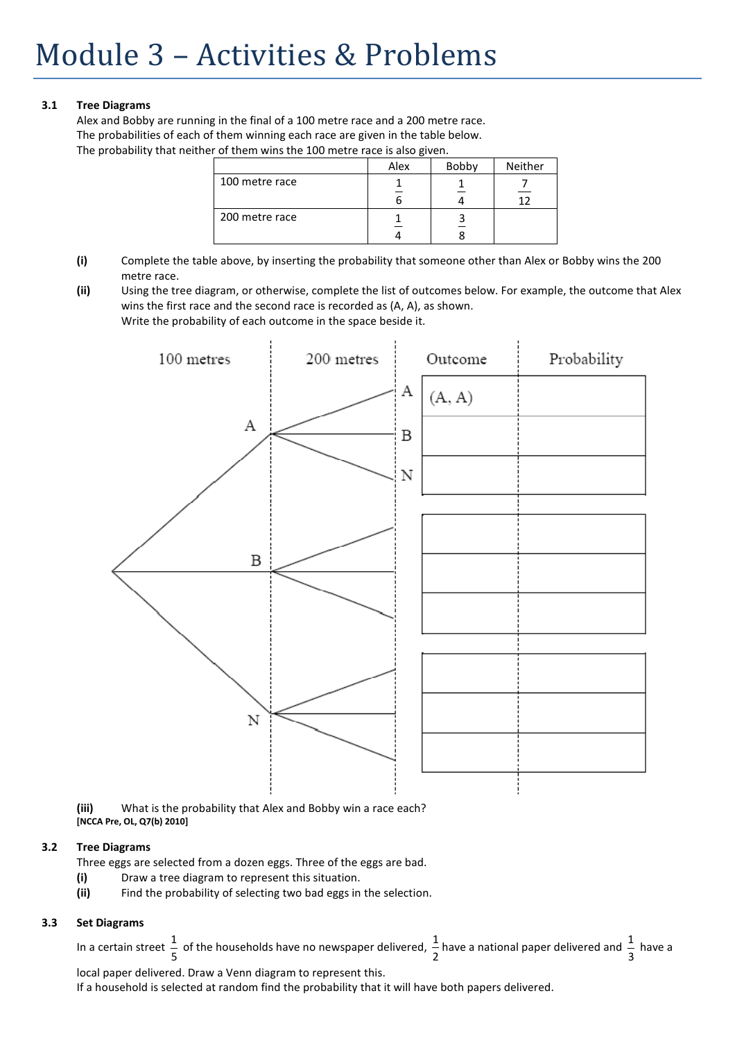# **3.1 Tree Diagrams**

Alex and Bobby are running in the final of a 100 metre race and a 200 metre race. The probabilities of each of them winning each race are given in the table below. The probability that neither of them wins the 100 metre race is also given.

|                | Alex | Bobby | Neither |
|----------------|------|-------|---------|
| 100 metre race |      |       |         |
| 200 metre race |      |       |         |

- **(i)** Complete the table above, by inserting the probability that someone other than Alex or Bobby wins the 200 metre race.
- **(ii)** Using the tree diagram, or otherwise, complete the list of outcomes below. For example, the outcome that Alex wins the first race and the second race is recorded as (A, A), as shown. Write the probability of each outcome in the space beside it.



**(iii)** What is the probability that Alex and Bobby win a race each? **[NCCA Pre, OL, Q7(b) 2010]** 

## **3.2 Tree Diagrams**

Three eggs are selected from a dozen eggs. Three of the eggs are bad.

- **(i)** Draw a tree diagram to represent this situation.
- **(ii)** Find the probability of selecting two bad eggs in the selection.

# **3.3 Set Diagrams**

In a certain street  $\frac{1}{5}$  of the households have no newspaper delivered,  $\frac{1}{2}$  have a national paper delivered and  $\frac{1}{3}$  have a

local paper delivered. Draw a Venn diagram to represent this. If a household is selected at random find the probability that it will have both papers delivered.